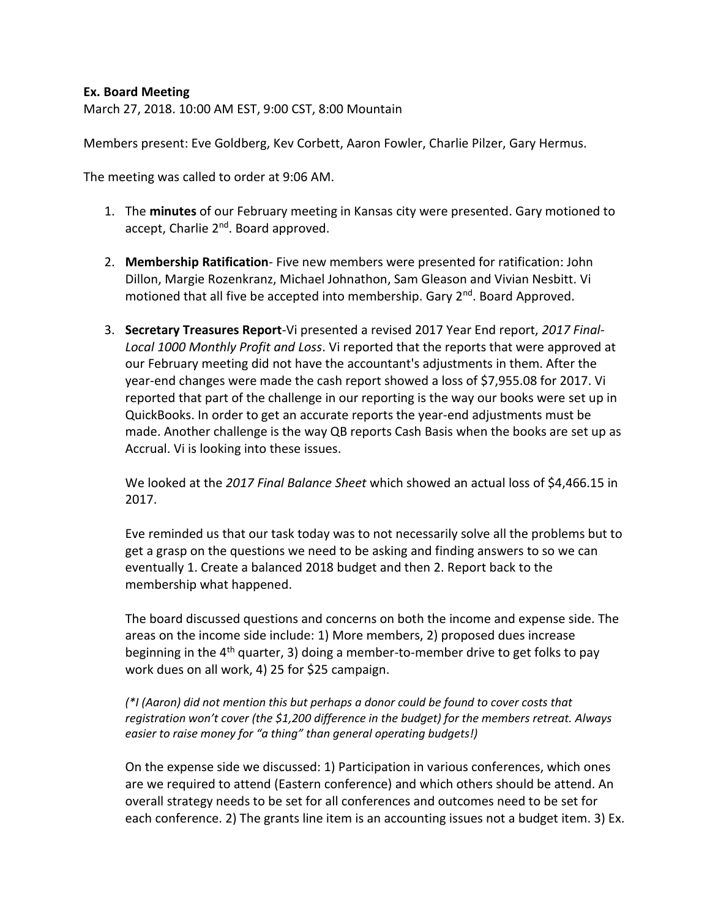## **Ex. Board Meeting**

March 27, 2018. 10:00 AM EST, 9:00 CST, 8:00 Mountain

Members present: Eve Goldberg, Kev Corbett, Aaron Fowler, Charlie Pilzer, Gary Hermus.

The meeting was called to order at 9:06 AM.

- 1. The **minutes** of our February meeting in Kansas city were presented. Gary motioned to accept, Charlie 2<sup>nd</sup>. Board approved.
- 2. **Membership Ratification** Five new members were presented for ratification: John Dillon, Margie Rozenkranz, Michael Johnathon, Sam Gleason and Vivian Nesbitt. Vi motioned that all five be accepted into membership. Gary 2<sup>nd</sup>. Board Approved.
- 3. **Secretary Treasures Report**-Vi presented a revised 2017 Year End report, *2017 Final-Local 1000 Monthly Profit and Loss*. Vi reported that the reports that were approved at our February meeting did not have the accountant's adjustments in them. After the year-end changes were made the cash report showed a loss of \$7,955.08 for 2017. Vi reported that part of the challenge in our reporting is the way our books were set up in QuickBooks. In order to get an accurate reports the year-end adjustments must be made. Another challenge is the way QB reports Cash Basis when the books are set up as Accrual. Vi is looking into these issues.

We looked at the *2017 Final Balance Sheet* which showed an actual loss of \$4,466.15 in 2017.

Eve reminded us that our task today was to not necessarily solve all the problems but to get a grasp on the questions we need to be asking and finding answers to so we can eventually 1. Create a balanced 2018 budget and then 2. Report back to the membership what happened.

The board discussed questions and concerns on both the income and expense side. The areas on the income side include: 1) More members, 2) proposed dues increase beginning in the 4<sup>th</sup> quarter, 3) doing a member-to-member drive to get folks to pay work dues on all work, 4) 25 for \$25 campaign.

## *(\*I (Aaron) did not mention this but perhaps a donor could be found to cover costs that registration won't cover (the \$1,200 difference in the budget) for the members retreat. Always easier to raise money for "a thing" than general operating budgets!)*

On the expense side we discussed: 1) Participation in various conferences, which ones are we required to attend (Eastern conference) and which others should be attend. An overall strategy needs to be set for all conferences and outcomes need to be set for each conference. 2) The grants line item is an accounting issues not a budget item. 3) Ex.